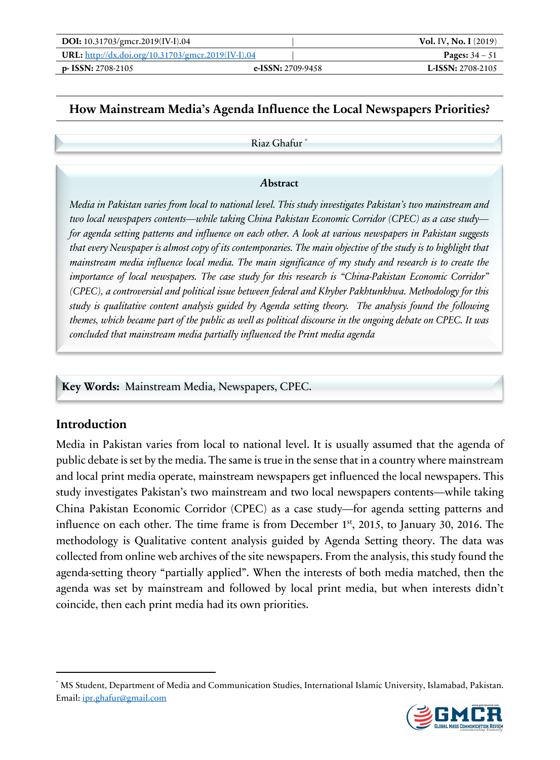| DOI: 10.31703/gmcr.2019(IV-I).04                          |                     | <b>Vol. IV, No. I</b> $(2019)$ |
|-----------------------------------------------------------|---------------------|--------------------------------|
| <b>URL:</b> http://dx.doi.org/10.31703/gmcr.2019(IV-I).04 |                     | <b>Pages:</b> $34 - 51$        |
| $p-$ ISSN: 2708-2105                                      | e-ISSN: $2709-9458$ | <b>L-ISSN:</b> 2708-2105       |

## **How Mainstream Media's Agenda Influence the Local Newspapers Priorities?**

Riaz Ghafur \*

#### *A***bstract**

*Media in Pakistan varies from local to national level. This study investigates Pakistan's two mainstream and two local newspapers contents—while taking China Pakistan Economic Corridor (CPEC) as a case study for agenda setting patterns and influence on each other. A look at various newspapers in Pakistan suggests that every Newspaper is almost copy of its contemporaries. The main objective of the study is to highlight that mainstream media influence local media. The main significance of my study and research is to create the importance of local newspapers. The case study for this research is "China-Pakistan Economic Corridor" (CPEC), a controversial and political issue between federal and Khyber Pakhtunkhwa. Methodology for this study is qualitative content analysis guided by Agenda setting theory. The analysis found the following themes, which became part of the public as well as political discourse in the ongoing debate on CPEC. It was concluded that mainstream media partially influenced the Print media agenda*

**Key Words:** Mainstream Media, Newspapers, CPEC.

### **Introduction**

Media in Pakistan varies from local to national level. It is usually assumed that the agenda of public debate is set by the media. The same is true in the sense that in a country where mainstream and local print media operate, mainstream newspapers get influenced the local newspapers. This study investigates Pakistan's two mainstream and two local newspapers contents—while taking China Pakistan Economic Corridor (CPEC) as a case study—for agenda setting patterns and influence on each other. The time frame is from December 1st, 2015, to January 30, 2016. The methodology is Qualitative content analysis guided by Agenda Setting theory. The data was collected from online web archives of the site newspapers. From the analysis, this study found the agenda-setting theory "partially applied". When the interests of both media matched, then the agenda was set by mainstream and followed by local print media, but when interests didn't coincide, then each print media had its own priorities.

<sup>\*</sup> MS Student, Department of Media and Communication Studies, International Islamic University, Islamabad, Pakistan. Email: ipr.ghafur@gmail.com

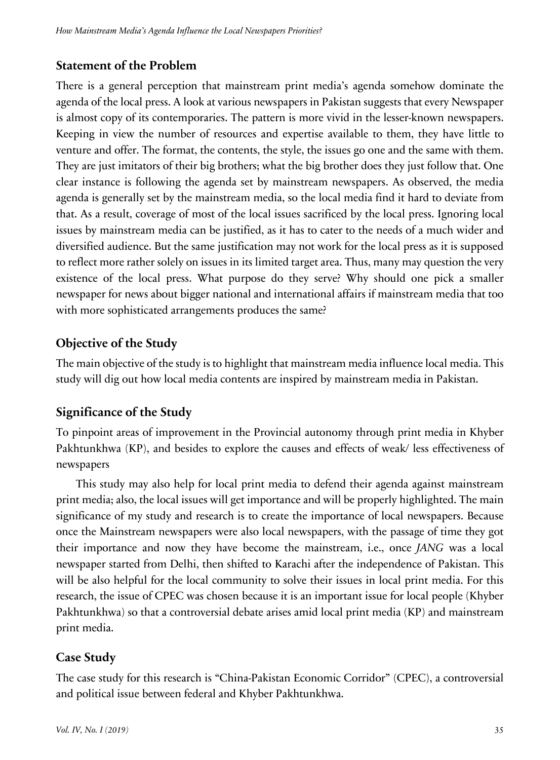## **Statement of the Problem**

There is a general perception that mainstream print media's agenda somehow dominate the agenda of the local press. A look at various newspapers in Pakistan suggests that every Newspaper is almost copy of its contemporaries. The pattern is more vivid in the lesser-known newspapers. Keeping in view the number of resources and expertise available to them, they have little to venture and offer. The format, the contents, the style, the issues go one and the same with them. They are just imitators of their big brothers; what the big brother does they just follow that. One clear instance is following the agenda set by mainstream newspapers. As observed, the media agenda is generally set by the mainstream media, so the local media find it hard to deviate from that. As a result, coverage of most of the local issues sacrificed by the local press. Ignoring local issues by mainstream media can be justified, as it has to cater to the needs of a much wider and diversified audience. But the same justification may not work for the local press as it is supposed to reflect more rather solely on issues in its limited target area. Thus, many may question the very existence of the local press. What purpose do they serve? Why should one pick a smaller newspaper for news about bigger national and international affairs if mainstream media that too with more sophisticated arrangements produces the same?

## **Objective of the Study**

The main objective of the study is to highlight that mainstream media influence local media. This study will dig out how local media contents are inspired by mainstream media in Pakistan.

# **Significance of the Study**

To pinpoint areas of improvement in the Provincial autonomy through print media in Khyber Pakhtunkhwa (KP), and besides to explore the causes and effects of weak/ less effectiveness of newspapers

This study may also help for local print media to defend their agenda against mainstream print media; also, the local issues will get importance and will be properly highlighted. The main significance of my study and research is to create the importance of local newspapers. Because once the Mainstream newspapers were also local newspapers, with the passage of time they got their importance and now they have become the mainstream, i.e., once *JANG* was a local newspaper started from Delhi, then shifted to Karachi after the independence of Pakistan. This will be also helpful for the local community to solve their issues in local print media. For this research, the issue of CPEC was chosen because it is an important issue for local people (Khyber Pakhtunkhwa) so that a controversial debate arises amid local print media (KP) and mainstream print media.

# **Case Study**

The case study for this research is "China-Pakistan Economic Corridor" (CPEC), a controversial and political issue between federal and Khyber Pakhtunkhwa.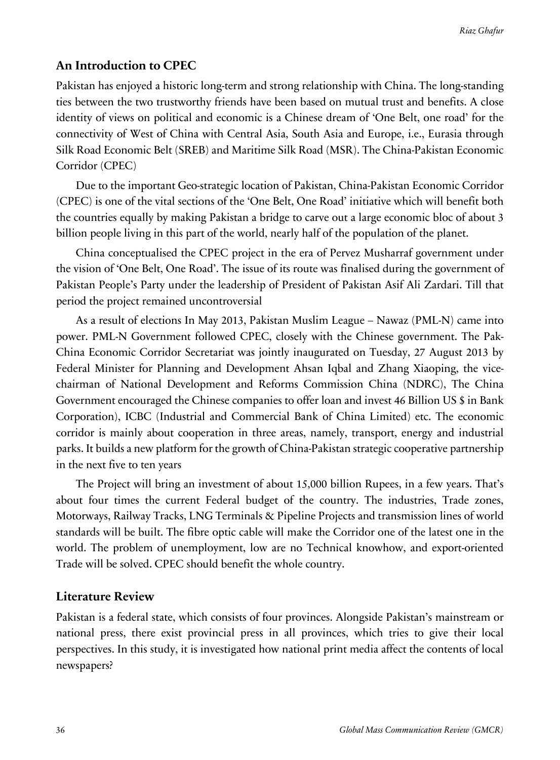### **An Introduction to CPEC**

Pakistan has enjoyed a historic long-term and strong relationship with China. The long-standing ties between the two trustworthy friends have been based on mutual trust and benefits. A close identity of views on political and economic is a Chinese dream of 'One Belt, one road' for the connectivity of West of China with Central Asia, South Asia and Europe, i.e., Eurasia through Silk Road Economic Belt (SREB) and Maritime Silk Road (MSR). The China-Pakistan Economic Corridor (CPEC)

Due to the important Geo-strategic location of Pakistan, China-Pakistan Economic Corridor (CPEC) is one of the vital sections of the 'One Belt, One Road' initiative which will benefit both the countries equally by making Pakistan a bridge to carve out a large economic bloc of about 3 billion people living in this part of the world, nearly half of the population of the planet.

China conceptualised the CPEC project in the era of Pervez Musharraf government under the vision of 'One Belt, One Road'. The issue of its route was finalised during the government of Pakistan People's Party under the leadership of President of Pakistan Asif Ali Zardari. Till that period the project remained uncontroversial

As a result of elections In May 2013, Pakistan Muslim League – Nawaz (PML-N) came into power. PML-N Government followed CPEC, closely with the Chinese government. The Pak-China Economic Corridor Secretariat was jointly inaugurated on Tuesday, 27 August 2013 by Federal Minister for Planning and Development Ahsan Iqbal and Zhang Xiaoping, the vicechairman of National Development and Reforms Commission China (NDRC), The China Government encouraged the Chinese companies to offer loan and invest 46 Billion US \$ in Bank Corporation), ICBC (Industrial and Commercial Bank of China Limited) etc. The economic corridor is mainly about cooperation in three areas, namely, transport, energy and industrial parks. It builds a new platform for the growth of China-Pakistan strategic cooperative partnership in the next five to ten years

The Project will bring an investment of about 15,000 billion Rupees, in a few years. That's about four times the current Federal budget of the country. The industries, Trade zones, Motorways, Railway Tracks, LNG Terminals & Pipeline Projects and transmission lines of world standards will be built. The fibre optic cable will make the Corridor one of the latest one in the world. The problem of unemployment, low are no Technical knowhow, and export-oriented Trade will be solved. CPEC should benefit the whole country.

### **Literature Review**

Pakistan is a federal state, which consists of four provinces. Alongside Pakistan's mainstream or national press, there exist provincial press in all provinces, which tries to give their local perspectives. In this study, it is investigated how national print media affect the contents of local newspapers?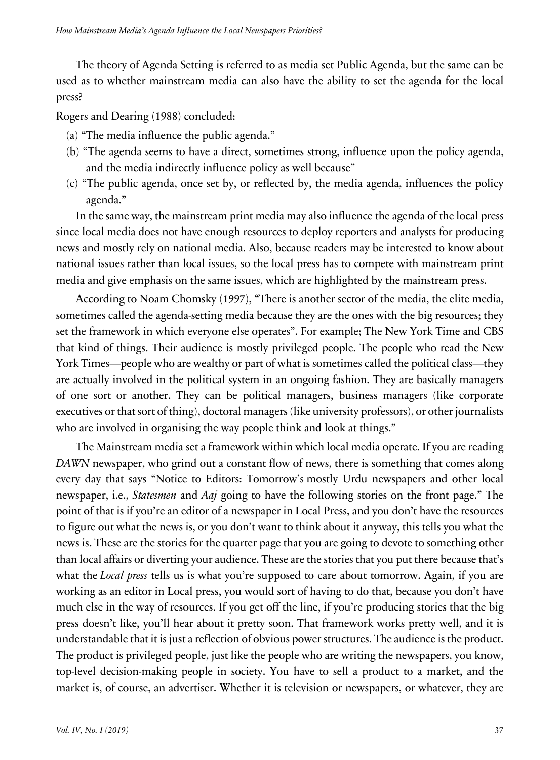The theory of Agenda Setting is referred to as media set Public Agenda, but the same can be used as to whether mainstream media can also have the ability to set the agenda for the local press?

Rogers and Dearing (1988) concluded:

- (a) "The media influence the public agenda."
- (b) "The agenda seems to have a direct, sometimes strong, influence upon the policy agenda, and the media indirectly influence policy as well because"
- (c) "The public agenda, once set by, or reflected by, the media agenda, influences the policy agenda."

In the same way, the mainstream print media may also influence the agenda of the local press since local media does not have enough resources to deploy reporters and analysts for producing news and mostly rely on national media. Also, because readers may be interested to know about national issues rather than local issues, so the local press has to compete with mainstream print media and give emphasis on the same issues, which are highlighted by the mainstream press.

According to Noam Chomsky (1997), "There is another sector of the media, the elite media, sometimes called the agenda-setting media because they are the ones with the big resources; they set the framework in which everyone else operates". For example; The New York Time and CBS that kind of things. Their audience is mostly privileged people. The people who read the New York Times—people who are wealthy or part of what is sometimes called the political class—they are actually involved in the political system in an ongoing fashion. They are basically managers of one sort or another. They can be political managers, business managers (like corporate executives or that sort of thing), doctoral managers (like university professors), or other journalists who are involved in organising the way people think and look at things."

The Mainstream media set a framework within which local media operate. If you are reading *DAWN* newspaper, who grind out a constant flow of news, there is something that comes along every day that says "Notice to Editors: Tomorrow's mostly Urdu newspapers and other local newspaper, i.e., *Statesmen* and *Aaj* going to have the following stories on the front page." The point of that is if you're an editor of a newspaper in Local Press, and you don't have the resources to figure out what the news is, or you don't want to think about it anyway, this tells you what the news is. These are the stories for the quarter page that you are going to devote to something other than local affairs or diverting your audience. These are the stories that you put there because that's what the *Local press* tells us is what you're supposed to care about tomorrow. Again, if you are working as an editor in Local press, you would sort of having to do that, because you don't have much else in the way of resources. If you get off the line, if you're producing stories that the big press doesn't like, you'll hear about it pretty soon. That framework works pretty well, and it is understandable that it is just a reflection of obvious power structures. The audience is the product. The product is privileged people, just like the people who are writing the newspapers, you know, top-level decision-making people in society. You have to sell a product to a market, and the market is, of course, an advertiser. Whether it is television or newspapers, or whatever, they are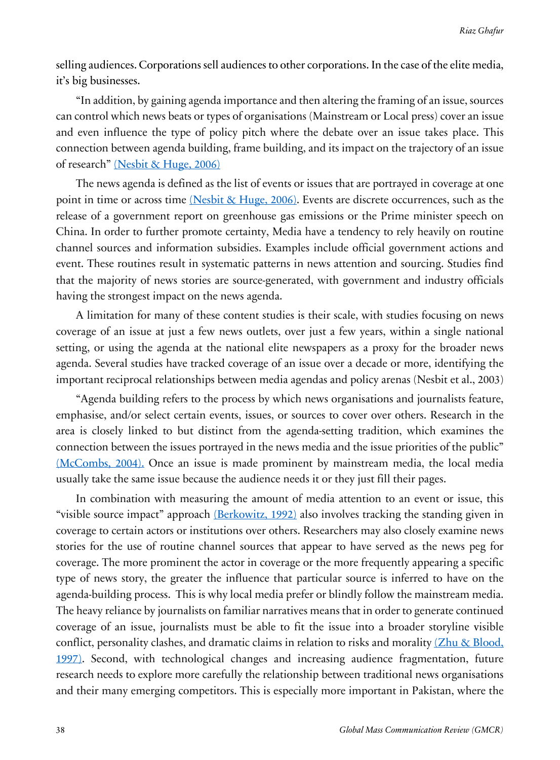selling audiences. Corporations sell audiences to other corporations. In the case of the elite media, it's big businesses.

"In addition, by gaining agenda importance and then altering the framing of an issue, sources can control which news beats or types of organisations (Mainstream or Local press) cover an issue and even influence the type of policy pitch where the debate over an issue takes place. This connection between agenda building, frame building, and its impact on the trajectory of an issue of research" (Nesbit & Huge, 2006)

The news agenda is defined as the list of events or issues that are portrayed in coverage at one point in time or across time (Nesbit & Huge, 2006). Events are discrete occurrences, such as the release of a government report on greenhouse gas emissions or the Prime minister speech on China. In order to further promote certainty, Media have a tendency to rely heavily on routine channel sources and information subsidies. Examples include official government actions and event. These routines result in systematic patterns in news attention and sourcing. Studies find that the majority of news stories are source-generated, with government and industry officials having the strongest impact on the news agenda.

A limitation for many of these content studies is their scale, with studies focusing on news coverage of an issue at just a few news outlets, over just a few years, within a single national setting, or using the agenda at the national elite newspapers as a proxy for the broader news agenda. Several studies have tracked coverage of an issue over a decade or more, identifying the important reciprocal relationships between media agendas and policy arenas (Nesbit et al., 2003)

"Agenda building refers to the process by which news organisations and journalists feature, emphasise, and/or select certain events, issues, or sources to cover over others. Research in the area is closely linked to but distinct from the agenda-setting tradition, which examines the connection between the issues portrayed in the news media and the issue priorities of the public" (McCombs, 2004). Once an issue is made prominent by mainstream media, the local media usually take the same issue because the audience needs it or they just fill their pages.

In combination with measuring the amount of media attention to an event or issue, this "visible source impact" approach (Berkowitz, 1992) also involves tracking the standing given in coverage to certain actors or institutions over others. Researchers may also closely examine news stories for the use of routine channel sources that appear to have served as the news peg for coverage. The more prominent the actor in coverage or the more frequently appearing a specific type of news story, the greater the influence that particular source is inferred to have on the agenda-building process. This is why local media prefer or blindly follow the mainstream media. The heavy reliance by journalists on familiar narratives means that in order to generate continued coverage of an issue, journalists must be able to fit the issue into a broader storyline visible conflict, personality clashes, and dramatic claims in relation to risks and morality  $(Zhu \& Blood)$ , 1997). Second, with technological changes and increasing audience fragmentation, future research needs to explore more carefully the relationship between traditional news organisations and their many emerging competitors. This is especially more important in Pakistan, where the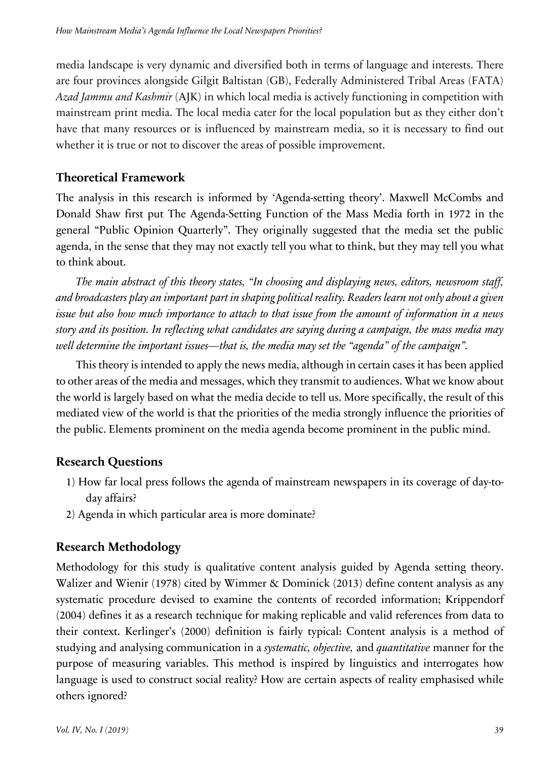media landscape is very dynamic and diversified both in terms of language and interests. There are four provinces alongside Gilgit Baltistan (GB), Federally Administered Tribal Areas (FATA) *Azad Jammu and Kashmir* (AJK) in which local media is actively functioning in competition with mainstream print media. The local media cater for the local population but as they either don't have that many resources or is influenced by mainstream media, so it is necessary to find out whether it is true or not to discover the areas of possible improvement.

## **Theoretical Framework**

The analysis in this research is informed by 'Agenda-setting theory'. Maxwell McCombs and Donald Shaw first put The Agenda-Setting Function of the Mass Media forth in 1972 in the general "Public Opinion Quarterly". They originally suggested that the media set the public agenda, in the sense that they may not exactly tell you what to think, but they may tell you what to think about.

*The main abstract of this theory states, "In choosing and displaying news, editors, newsroom staff, and broadcasters play an important part in shaping political reality. Readers learn not only about a given issue but also how much importance to attach to that issue from the amount of information in a news story and its position. In reflecting what candidates are saying during a campaign, the mass media may well determine the important issues—that is, the media may set the "agenda" of the campaign".*

This theory is intended to apply the news media, although in certain cases it has been applied to other areas of the media and messages, which they transmit to audiences. What we know about the world is largely based on what the media decide to tell us. More specifically, the result of this mediated view of the world is that the priorities of the media strongly influence the priorities of the public. Elements prominent on the media agenda become prominent in the public mind.

# **Research Questions**

- 1) How far local press follows the agenda of mainstream newspapers in its coverage of day-today affairs?
- 2) Agenda in which particular area is more dominate?

# **Research Methodology**

Methodology for this study is qualitative content analysis guided by Agenda setting theory. Walizer and Wienir (1978) cited by Wimmer & Dominick (2013) define content analysis as any systematic procedure devised to examine the contents of recorded information; Krippendorf (2004) defines it as a research technique for making replicable and valid references from data to their context. Kerlinger's (2000) definition is fairly typical: Content analysis is a method of studying and analysing communication in a *systematic, objective,* and *quantitative* manner for the purpose of measuring variables. This method is inspired by linguistics and interrogates how language is used to construct social reality? How are certain aspects of reality emphasised while others ignored?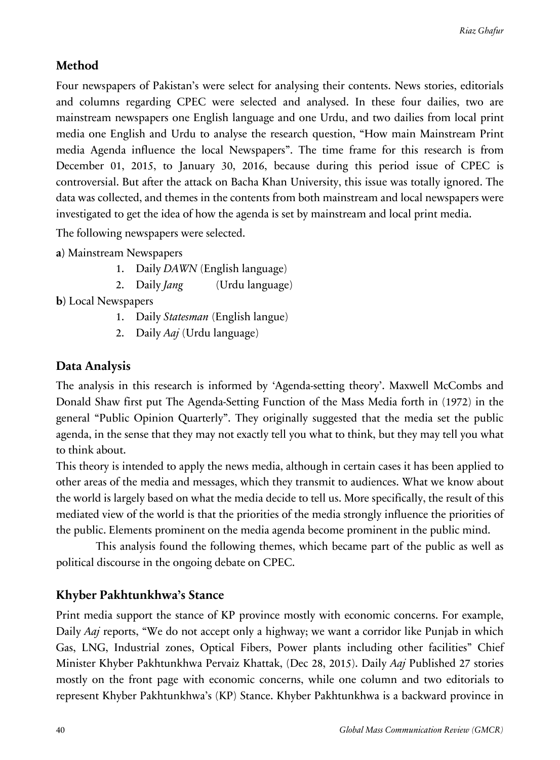# **Method**

Four newspapers of Pakistan's were select for analysing their contents. News stories, editorials and columns regarding CPEC were selected and analysed. In these four dailies, two are mainstream newspapers one English language and one Urdu, and two dailies from local print media one English and Urdu to analyse the research question, "How main Mainstream Print media Agenda influence the local Newspapers". The time frame for this research is from December 01, 2015, to January 30, 2016, because during this period issue of CPEC is controversial. But after the attack on Bacha Khan University, this issue was totally ignored. The data was collected, and themes in the contents from both mainstream and local newspapers were investigated to get the idea of how the agenda is set by mainstream and local print media.

The following newspapers were selected.

**a)** Mainstream Newspapers

- 1. Daily *DAWN* (English language)
- 2. Daily *Jang* (Urdu language)

**b)** Local Newspapers

- 1. Daily *Statesman* (English langue)
- 2. Daily *Aaj* (Urdu language)

## **Data Analysis**

The analysis in this research is informed by 'Agenda-setting theory'. Maxwell McCombs and Donald Shaw first put The Agenda-Setting Function of the Mass Media forth in (1972) in the general "Public Opinion Quarterly". They originally suggested that the media set the public agenda, in the sense that they may not exactly tell you what to think, but they may tell you what to think about.

This theory is intended to apply the news media, although in certain cases it has been applied to other areas of the media and messages, which they transmit to audiences. What we know about the world is largely based on what the media decide to tell us. More specifically, the result of this mediated view of the world is that the priorities of the media strongly influence the priorities of the public. Elements prominent on the media agenda become prominent in the public mind.

This analysis found the following themes, which became part of the public as well as political discourse in the ongoing debate on CPEC.

## **Khyber Pakhtunkhwa's Stance**

Print media support the stance of KP province mostly with economic concerns. For example, Daily *Aaj* reports, "We do not accept only a highway; we want a corridor like Punjab in which Gas, LNG, Industrial zones, Optical Fibers, Power plants including other facilities" Chief Minister Khyber Pakhtunkhwa Pervaiz Khattak, (Dec 28, 2015). Daily *Aaj* Published 27 stories mostly on the front page with economic concerns, while one column and two editorials to represent Khyber Pakhtunkhwa's (KP) Stance. Khyber Pakhtunkhwa is a backward province in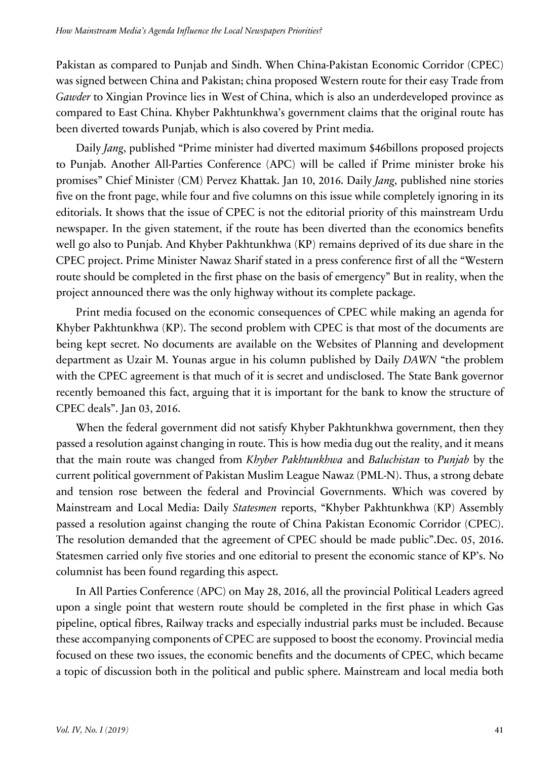Pakistan as compared to Punjab and Sindh. When China-Pakistan Economic Corridor (CPEC) was signed between China and Pakistan; china proposed Western route for their easy Trade from *Gawder* to Xingian Province lies in West of China, which is also an underdeveloped province as compared to East China. Khyber Pakhtunkhwa's government claims that the original route has been diverted towards Punjab, which is also covered by Print media.

Daily *Jang*, published "Prime minister had diverted maximum \$46billons proposed projects to Punjab. Another All-Parties Conference (APC) will be called if Prime minister broke his promises" Chief Minister (CM) Pervez Khattak. Jan 10, 2016. Daily *Jang*, published nine stories five on the front page, while four and five columns on this issue while completely ignoring in its editorials. It shows that the issue of CPEC is not the editorial priority of this mainstream Urdu newspaper. In the given statement, if the route has been diverted than the economics benefits well go also to Punjab. And Khyber Pakhtunkhwa (KP) remains deprived of its due share in the CPEC project. Prime Minister Nawaz Sharif stated in a press conference first of all the "Western route should be completed in the first phase on the basis of emergency" But in reality, when the project announced there was the only highway without its complete package.

Print media focused on the economic consequences of CPEC while making an agenda for Khyber Pakhtunkhwa (KP). The second problem with CPEC is that most of the documents are being kept secret. No documents are available on the Websites of Planning and development department as Uzair M. Younas argue in his column published by Daily *DAWN* "the problem with the CPEC agreement is that much of it is secret and undisclosed. The State Bank governor recently bemoaned this fact, arguing that it is important for the bank to know the structure of CPEC deals". Jan 03, 2016.

When the federal government did not satisfy Khyber Pakhtunkhwa government, then they passed a resolution against changing in route. This is how media dug out the reality, and it means that the main route was changed from *Khyber Pakhtunkhwa* and *Baluchistan* to *Punjab* by the current political government of Pakistan Muslim League Nawaz (PML-N). Thus, a strong debate and tension rose between the federal and Provincial Governments. Which was covered by Mainstream and Local Media: Daily *Statesmen* reports, "Khyber Pakhtunkhwa (KP) Assembly passed a resolution against changing the route of China Pakistan Economic Corridor (CPEC). The resolution demanded that the agreement of CPEC should be made public".Dec. 05, 2016. Statesmen carried only five stories and one editorial to present the economic stance of KP's. No columnist has been found regarding this aspect.

In All Parties Conference (APC) on May 28, 2016, all the provincial Political Leaders agreed upon a single point that western route should be completed in the first phase in which Gas pipeline, optical fibres, Railway tracks and especially industrial parks must be included. Because these accompanying components of CPEC are supposed to boost the economy. Provincial media focused on these two issues, the economic benefits and the documents of CPEC, which became a topic of discussion both in the political and public sphere. Mainstream and local media both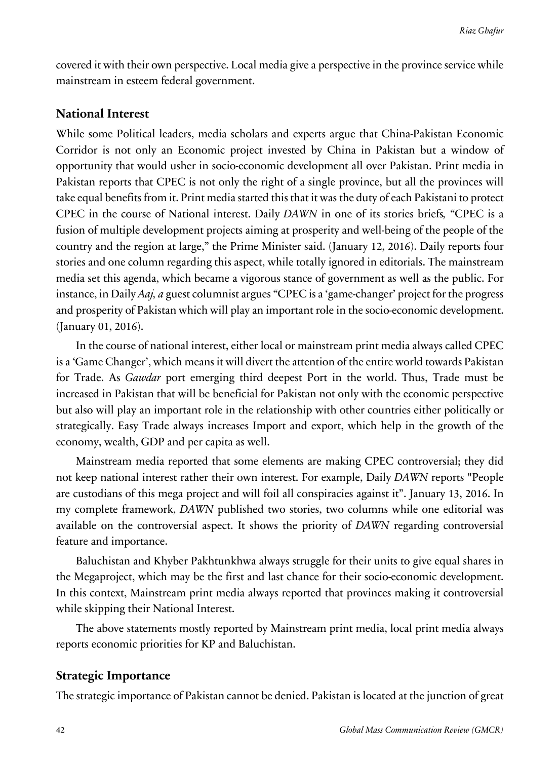covered it with their own perspective. Local media give a perspective in the province service while mainstream in esteem federal government.

### **National Interest**

While some Political leaders, media scholars and experts argue that China-Pakistan Economic Corridor is not only an Economic project invested by China in Pakistan but a window of opportunity that would usher in socio-economic development all over Pakistan. Print media in Pakistan reports that CPEC is not only the right of a single province, but all the provinces will take equal benefits from it. Print media started this that it was the duty of each Pakistani to protect CPEC in the course of National interest. Daily *DAWN* in one of its stories briefs*,* "CPEC is a fusion of multiple development projects aiming at prosperity and well-being of the people of the country and the region at large," the Prime Minister said. (January 12, 2016). Daily reports four stories and one column regarding this aspect, while totally ignored in editorials. The mainstream media set this agenda, which became a vigorous stance of government as well as the public. For instance, in Daily *Aaj, a* guest columnist argues "CPEC is a 'game-changer' project for the progress and prosperity of Pakistan which will play an important role in the socio-economic development. (January 01, 2016).

In the course of national interest, either local or mainstream print media always called CPEC is a 'Game Changer', which means it will divert the attention of the entire world towards Pakistan for Trade. As *Gawdar* port emerging third deepest Port in the world. Thus, Trade must be increased in Pakistan that will be beneficial for Pakistan not only with the economic perspective but also will play an important role in the relationship with other countries either politically or strategically. Easy Trade always increases Import and export, which help in the growth of the economy, wealth, GDP and per capita as well.

Mainstream media reported that some elements are making CPEC controversial; they did not keep national interest rather their own interest. For example, Daily *DAWN* reports "People are custodians of this mega project and will foil all conspiracies against it". January 13, 2016. In my complete framework, *DAWN* published two stories, two columns while one editorial was available on the controversial aspect. It shows the priority of *DAWN* regarding controversial feature and importance.

Baluchistan and Khyber Pakhtunkhwa always struggle for their units to give equal shares in the Megaproject, which may be the first and last chance for their socio-economic development. In this context, Mainstream print media always reported that provinces making it controversial while skipping their National Interest.

The above statements mostly reported by Mainstream print media, local print media always reports economic priorities for KP and Baluchistan.

### **Strategic Importance**

The strategic importance of Pakistan cannot be denied. Pakistan is located at the junction of great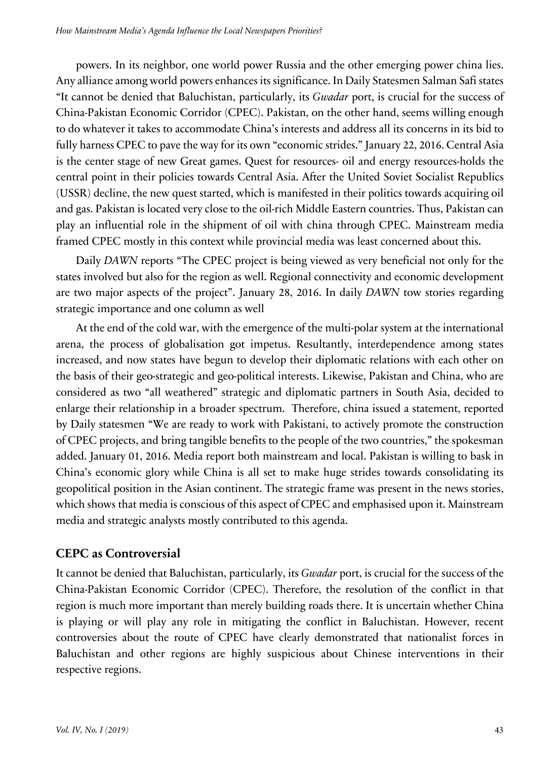powers. In its neighbor, one world power Russia and the other emerging power china lies. Any alliance among world powers enhances its significance. In Daily Statesmen Salman Safi states "It cannot be denied that Baluchistan, particularly, its *Gwadar* port, is crucial for the success of China-Pakistan Economic Corridor (CPEC). Pakistan, on the other hand, seems willing enough to do whatever it takes to accommodate China's interests and address all its concerns in its bid to fully harness CPEC to pave the way for its own "economic strides." January 22, 2016. Central Asia is the center stage of new Great games. Quest for resources- oil and energy resources-holds the central point in their policies towards Central Asia. After the United Soviet Socialist Republics (USSR) decline, the new quest started, which is manifested in their politics towards acquiring oil and gas. Pakistan is located very close to the oil-rich Middle Eastern countries. Thus, Pakistan can play an influential role in the shipment of oil with china through CPEC. Mainstream media framed CPEC mostly in this context while provincial media was least concerned about this.

Daily *DAWN* reports "The CPEC project is being viewed as very beneficial not only for the states involved but also for the region as well. Regional connectivity and economic development are two major aspects of the project". January 28, 2016. In daily *DAWN* tow stories regarding strategic importance and one column as well

At the end of the cold war, with the emergence of the multi-polar system at the international arena, the process of globalisation got impetus. Resultantly, interdependence among states increased, and now states have begun to develop their diplomatic relations with each other on the basis of their geo-strategic and geo-political interests. Likewise, Pakistan and China, who are considered as two "all weathered" strategic and diplomatic partners in South Asia, decided to enlarge their relationship in a broader spectrum. Therefore, china issued a statement, reported by Daily statesmen "We are ready to work with Pakistani, to actively promote the construction of CPEC projects, and bring tangible benefits to the people of the two countries," the spokesman added. January 01, 2016. Media report both mainstream and local. Pakistan is willing to bask in China's economic glory while China is all set to make huge strides towards consolidating its geopolitical position in the Asian continent. The strategic frame was present in the news stories, which shows that media is conscious of this aspect of CPEC and emphasised upon it. Mainstream media and strategic analysts mostly contributed to this agenda.

### **CEPC as Controversial**

It cannot be denied that Baluchistan, particularly, its *Gwadar* port, is crucial for the success of the China-Pakistan Economic Corridor (CPEC). Therefore, the resolution of the conflict in that region is much more important than merely building roads there. It is uncertain whether China is playing or will play any role in mitigating the conflict in Baluchistan. However, recent controversies about the route of CPEC have clearly demonstrated that nationalist forces in Baluchistan and other regions are highly suspicious about Chinese interventions in their respective regions.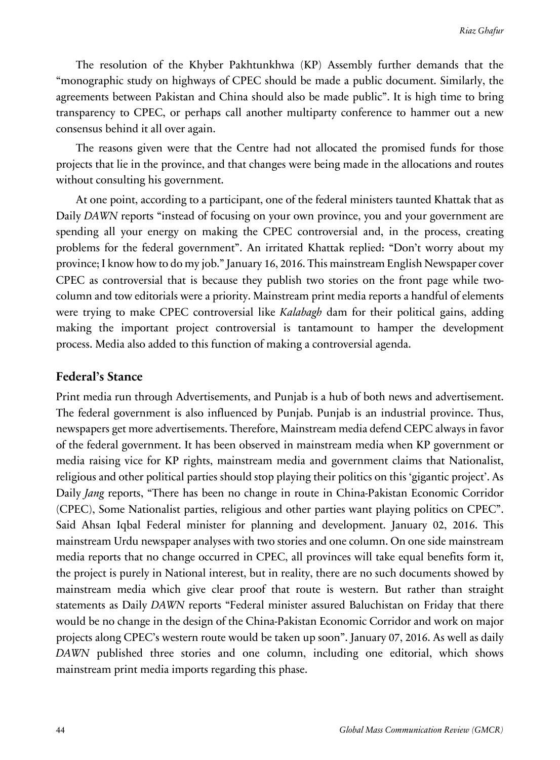The resolution of the Khyber Pakhtunkhwa (KP) Assembly further demands that the "monographic study on highways of CPEC should be made a public document. Similarly, the agreements between Pakistan and China should also be made public". It is high time to bring transparency to CPEC, or perhaps call another multiparty conference to hammer out a new consensus behind it all over again.

The reasons given were that the Centre had not allocated the promised funds for those projects that lie in the province, and that changes were being made in the allocations and routes without consulting his government.

At one point, according to a participant, one of the federal ministers taunted Khattak that as Daily *DAWN* reports "instead of focusing on your own province, you and your government are spending all your energy on making the CPEC controversial and, in the process, creating problems for the federal government". An irritated Khattak replied: "Don't worry about my province; I know how to do my job." January 16, 2016. This mainstream English Newspaper cover CPEC as controversial that is because they publish two stories on the front page while twocolumn and tow editorials were a priority. Mainstream print media reports a handful of elements were trying to make CPEC controversial like *Kalabagh* dam for their political gains, adding making the important project controversial is tantamount to hamper the development process. Media also added to this function of making a controversial agenda.

#### **Federal's Stance**

Print media run through Advertisements, and Punjab is a hub of both news and advertisement. The federal government is also influenced by Punjab. Punjab is an industrial province. Thus, newspapers get more advertisements. Therefore, Mainstream media defend CEPC always in favor of the federal government. It has been observed in mainstream media when KP government or media raising vice for KP rights, mainstream media and government claims that Nationalist, religious and other political parties should stop playing their politics on this 'gigantic project'. As Daily *Jang* reports, "There has been no change in route in China-Pakistan Economic Corridor (CPEC), Some Nationalist parties, religious and other parties want playing politics on CPEC". Said Ahsan Iqbal Federal minister for planning and development. January 02, 2016. This mainstream Urdu newspaper analyses with two stories and one column. On one side mainstream media reports that no change occurred in CPEC, all provinces will take equal benefits form it, the project is purely in National interest, but in reality, there are no such documents showed by mainstream media which give clear proof that route is western. But rather than straight statements as Daily *DAWN* reports "Federal minister assured Baluchistan on Friday that there would be no change in the design of the China-Pakistan Economic Corridor and work on major projects along CPEC's western route would be taken up soon". January 07, 2016. As well as daily *DAWN* published three stories and one column, including one editorial, which shows mainstream print media imports regarding this phase.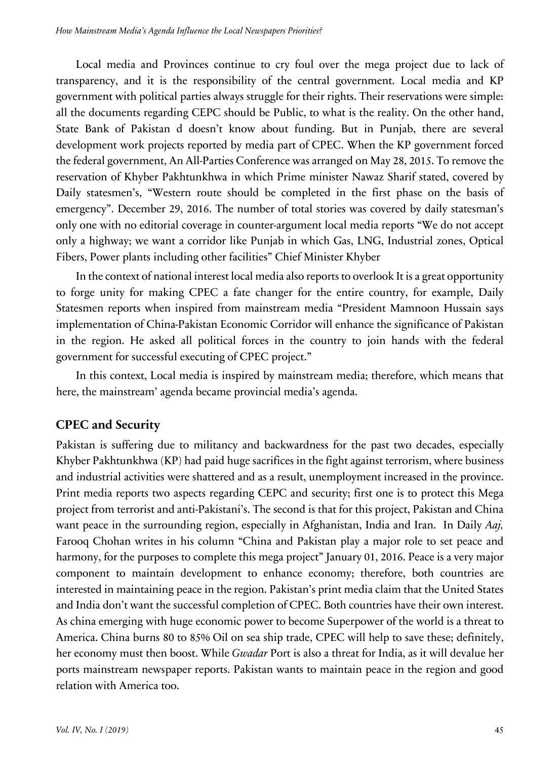Local media and Provinces continue to cry foul over the mega project due to lack of transparency, and it is the responsibility of the central government. Local media and KP government with political parties always struggle for their rights. Their reservations were simple: all the documents regarding CEPC should be Public, to what is the reality. On the other hand, State Bank of Pakistan d doesn't know about funding. But in Punjab, there are several development work projects reported by media part of CPEC. When the KP government forced the federal government, An All-Parties Conference was arranged on May 28, 2015. To remove the reservation of Khyber Pakhtunkhwa in which Prime minister Nawaz Sharif stated, covered by Daily statesmen's, "Western route should be completed in the first phase on the basis of emergency". December 29, 2016. The number of total stories was covered by daily statesman's only one with no editorial coverage in counter-argument local media reports "We do not accept only a highway; we want a corridor like Punjab in which Gas, LNG, Industrial zones, Optical Fibers, Power plants including other facilities" Chief Minister Khyber

In the context of national interest local media also reports to overlook It is a great opportunity to forge unity for making CPEC a fate changer for the entire country, for example, Daily Statesmen reports when inspired from mainstream media "President Mamnoon Hussain says implementation of China-Pakistan Economic Corridor will enhance the significance of Pakistan in the region. He asked all political forces in the country to join hands with the federal government for successful executing of CPEC project."

In this context, Local media is inspired by mainstream media; therefore, which means that here, the mainstream' agenda became provincial media's agenda.

### **CPEC and Security**

Pakistan is suffering due to militancy and backwardness for the past two decades, especially Khyber Pakhtunkhwa (KP) had paid huge sacrifices in the fight against terrorism, where business and industrial activities were shattered and as a result, unemployment increased in the province. Print media reports two aspects regarding CEPC and security; first one is to protect this Mega project from terrorist and anti-Pakistani's. The second is that for this project, Pakistan and China want peace in the surrounding region, especially in Afghanistan, India and Iran. In Daily *Aaj,*  Farooq Chohan writes in his column "China and Pakistan play a major role to set peace and harmony, for the purposes to complete this mega project" January 01, 2016. Peace is a very major component to maintain development to enhance economy; therefore, both countries are interested in maintaining peace in the region. Pakistan's print media claim that the United States and India don't want the successful completion of CPEC. Both countries have their own interest. As china emerging with huge economic power to become Superpower of the world is a threat to America. China burns 80 to 85% Oil on sea ship trade, CPEC will help to save these; definitely, her economy must then boost. While *Gwadar* Port is also a threat for India, as it will devalue her ports mainstream newspaper reports. Pakistan wants to maintain peace in the region and good relation with America too.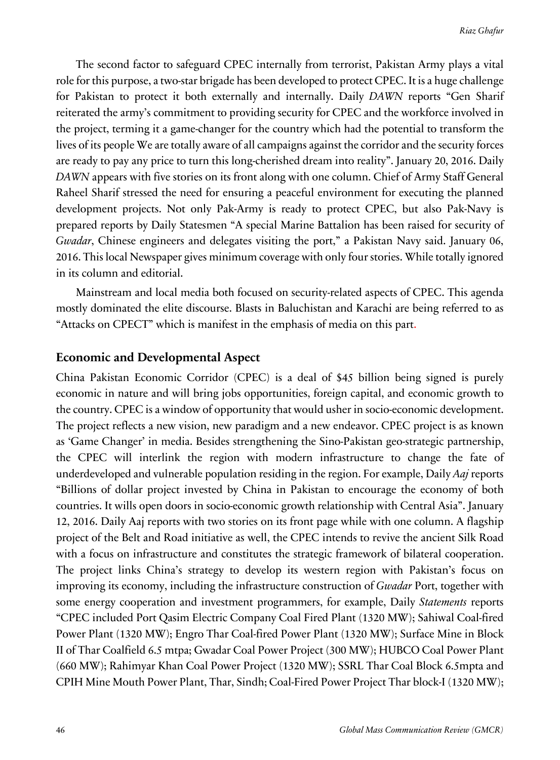The second factor to safeguard CPEC internally from terrorist, Pakistan Army plays a vital role for this purpose, a two-star brigade has been developed to protect CPEC. It is a huge challenge for Pakistan to protect it both externally and internally. Daily *DAWN* reports "Gen Sharif reiterated the army's commitment to providing security for CPEC and the workforce involved in the project, terming it a game-changer for the country which had the potential to transform the lives of its people We are totally aware of all campaigns against the corridor and the security forces are ready to pay any price to turn this long-cherished dream into reality". January 20, 2016. Daily *DAWN* appears with five stories on its front along with one column. Chief of Army Staff General Raheel Sharif stressed the need for ensuring a peaceful environment for executing the planned development projects. Not only Pak-Army is ready to protect CPEC, but also Pak-Navy is prepared reports by Daily Statesmen "A special Marine Battalion has been raised for security of *Gwadar*, Chinese engineers and delegates visiting the port," a Pakistan Navy said. January 06, 2016. This local Newspaper gives minimum coverage with only four stories. While totally ignored in its column and editorial.

Mainstream and local media both focused on security-related aspects of CPEC. This agenda mostly dominated the elite discourse. Blasts in Baluchistan and Karachi are being referred to as "Attacks on CPECT" which is manifest in the emphasis of media on this part.

### **Economic and Developmental Aspect**

China Pakistan Economic Corridor (CPEC) is a deal of \$45 billion being signed is purely economic in nature and will bring jobs opportunities, foreign capital, and economic growth to the country. CPEC is a window of opportunity that would usher in socio-economic development. The project reflects a new vision, new paradigm and a new endeavor. CPEC project is as known as 'Game Changer' in media. Besides strengthening the Sino-Pakistan geo-strategic partnership, the CPEC will interlink the region with modern infrastructure to change the fate of underdeveloped and vulnerable population residing in the region. For example, Daily *Aaj* reports "Billions of dollar project invested by China in Pakistan to encourage the economy of both countries. It wills open doors in socio-economic growth relationship with Central Asia". January 12, 2016. Daily Aaj reports with two stories on its front page while with one column. A flagship project of the Belt and Road initiative as well, the CPEC intends to revive the ancient Silk Road with a focus on infrastructure and constitutes the strategic framework of bilateral cooperation. The project links China's strategy to develop its western region with Pakistan's focus on improving its economy, including the infrastructure construction of *Gwadar* Port, together with some energy cooperation and investment programmers, for example, Daily *Statements* reports "CPEC included Port Qasim Electric Company Coal Fired Plant (1320 MW); Sahiwal Coal-fired Power Plant (1320 MW); Engro Thar Coal-fired Power Plant (1320 MW); Surface Mine in Block II of Thar Coalfield 6.5 mtpa; Gwadar Coal Power Project (300 MW); HUBCO Coal Power Plant (660 MW); Rahimyar Khan Coal Power Project (1320 MW); SSRL Thar Coal Block 6.5mpta and CPIH Mine Mouth Power Plant, Thar, Sindh; Coal-Fired Power Project Thar block-I (1320 MW);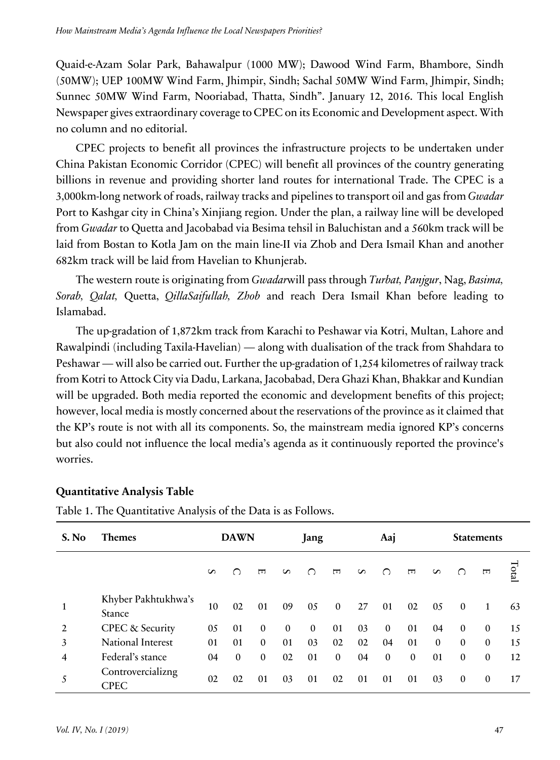Quaid-e-Azam Solar Park, Bahawalpur (1000 MW); Dawood Wind Farm, Bhambore, Sindh (50MW); UEP 100MW Wind Farm, Jhimpir, Sindh; Sachal 50MW Wind Farm, Jhimpir, Sindh; Sunnec 50MW Wind Farm, Nooriabad, Thatta, Sindh". January 12, 2016. This local English Newspaper gives extraordinary coverage to CPEC on its Economic and Development aspect. With no column and no editorial.

CPEC projects to benefit all provinces the infrastructure projects to be undertaken under China Pakistan Economic Corridor (CPEC) will benefit all provinces of the country generating billions in revenue and providing shorter land routes for international Trade. The CPEC is a 3,000km-long network of roads, railway tracks and pipelines to transport oil and gas from *Gwadar* Port to Kashgar city in China's Xinjiang region. Under the plan, a railway line will be developed from *Gwadar* to Quetta and Jacobabad via Besima tehsil in Baluchistan and a 560km track will be laid from Bostan to Kotla Jam on the main line-II via Zhob and Dera Ismail Khan and another 682km track will be laid from Havelian to Khunjerab.

The western route is originating from *Gwadar*will pass through *Turbat, Panjgur*, Nag, *Basima, Sorab, Qalat,* Quetta, *QillaSaifullah, Zhob* and reach Dera Ismail Khan before leading to Islamabad.

The up-gradation of 1,872km track from Karachi to Peshawar via Kotri, Multan, Lahore and Rawalpindi (including Taxila-Havelian) — along with dualisation of the track from Shahdara to Peshawar — will also be carried out. Further the up-gradation of 1,254 kilometres of railway track from Kotri to Attock City via Dadu, Larkana, Jacobabad, Dera Ghazi Khan, Bhakkar and Kundian will be upgraded. Both media reported the economic and development benefits of this project; however, local media is mostly concerned about the reservations of the province as it claimed that the KP's route is not with all its components. So, the mainstream media ignored KP's concerns but also could not influence the local media's agenda as it continuously reported the province's worries.

| S. No | <b>Themes</b>                    | <b>DAWN</b> |              |              | Jang     |          |              | Aaj |              |              | <b>Statements</b> |              |              |      |
|-------|----------------------------------|-------------|--------------|--------------|----------|----------|--------------|-----|--------------|--------------|-------------------|--------------|--------------|------|
|       |                                  | S           | ∩            | $\Box$       | S        | ∩        | $\Box$       | S   | ∩            | $\Box$       | S                 | ∩            | $\Box$       | Tota |
| 1     | Khyber Pakhtukhwa's<br>Stance    | 10          | 02           | 01           | 09       | 05       | $\mathbf{0}$ | 27  | 01           | 02           | 05                | $\mathbf{0}$ | 1            | 63   |
| 2     | CPEC & Security                  | 05          | 01           | $\Omega$     | $\Omega$ | $\Omega$ | 01           | 03  | $\mathbf{0}$ | 01           | 04                | $\Omega$     | $\Omega$     | 15   |
| 3     | <b>National Interest</b>         | 01          | 01           | $\Omega$     | 01       | 03       | 02           | 02  | 04           | 01           | $\Omega$          | $\Omega$     | $\Omega$     | 15   |
| 4     | Federal's stance                 | 04          | $\mathbf{0}$ | $\mathbf{0}$ | 02       | 01       | $\Omega$     | 04  | $\mathbf{0}$ | $\mathbf{0}$ | 01                | $\mathbf{0}$ | $\mathbf{0}$ | 12   |
| 5     | Controvercializng<br><b>CPEC</b> | 02          | 02           | 01           | 03       | 01       | 02           | 01  | 01           | 01           | 03                | $\mathbf{0}$ | $\mathbf{0}$ | 17   |

### **Quantitative Analysis Table**

Table 1. The Quantitative Analysis of the Data is as Follows.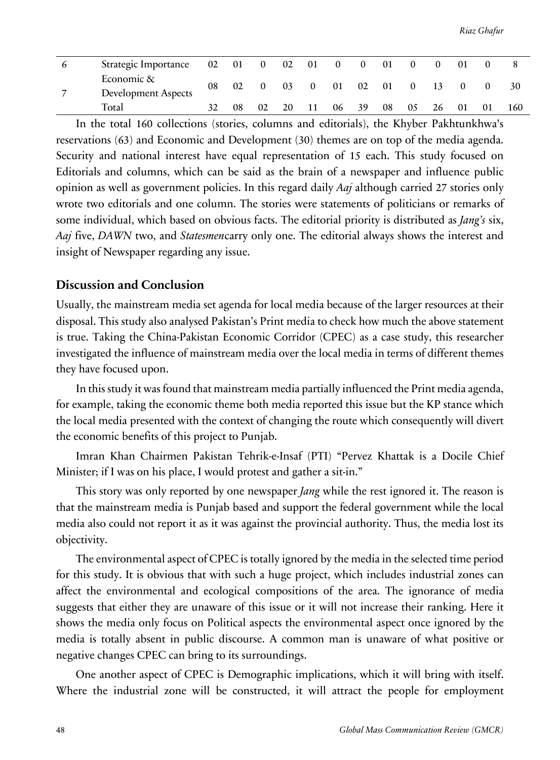| Strategic Importance                     |    |    | 02 01 0 02 01 0 |    |              |    | $\theta$ | 01 | $\theta$ |    |    |    |     |
|------------------------------------------|----|----|-----------------|----|--------------|----|----------|----|----------|----|----|----|-----|
| Economic &<br><b>Development Aspects</b> | 08 | 02 |                 | 03 | $\mathbf{0}$ | 01 | 02       | 01 | $\theta$ | 13 |    |    | 30  |
| Total                                    |    | 08 | 02              | 20 |              |    | 06 39    | 08 | 05       | 26 | 01 | 01 | 160 |

In the total 160 collections (stories, columns and editorials), the Khyber Pakhtunkhwa's reservations (63) and Economic and Development (30) themes are on top of the media agenda. Security and national interest have equal representation of 15 each. This study focused on Editorials and columns, which can be said as the brain of a newspaper and influence public opinion as well as government policies. In this regard daily *Aaj* although carried 27 stories only wrote two editorials and one column. The stories were statements of politicians or remarks of some individual, which based on obvious facts. The editorial priority is distributed as *Jang's* six, *Aaj* five, *DAWN* two, and *Statesmen*carry only one. The editorial always shows the interest and insight of Newspaper regarding any issue.

### **Discussion and Conclusion**

Usually, the mainstream media set agenda for local media because of the larger resources at their disposal. This study also analysed Pakistan's Print media to check how much the above statement is true. Taking the China-Pakistan Economic Corridor (CPEC) as a case study, this researcher investigated the influence of mainstream media over the local media in terms of different themes they have focused upon.

In this study it was found that mainstream media partially influenced the Print media agenda, for example, taking the economic theme both media reported this issue but the KP stance which the local media presented with the context of changing the route which consequently will divert the economic benefits of this project to Punjab.

Imran Khan Chairmen Pakistan Tehrik-e-Insaf (PTI) "Pervez Khattak is a Docile Chief Minister; if I was on his place, I would protest and gather a sit-in."

This story was only reported by one newspaper *Jang* while the rest ignored it. The reason is that the mainstream media is Punjab based and support the federal government while the local media also could not report it as it was against the provincial authority. Thus, the media lost its objectivity.

The environmental aspect of CPEC is totally ignored by the media in the selected time period for this study. It is obvious that with such a huge project, which includes industrial zones can affect the environmental and ecological compositions of the area. The ignorance of media suggests that either they are unaware of this issue or it will not increase their ranking. Here it shows the media only focus on Political aspects the environmental aspect once ignored by the media is totally absent in public discourse. A common man is unaware of what positive or negative changes CPEC can bring to its surroundings.

One another aspect of CPEC is Demographic implications, which it will bring with itself. Where the industrial zone will be constructed, it will attract the people for employment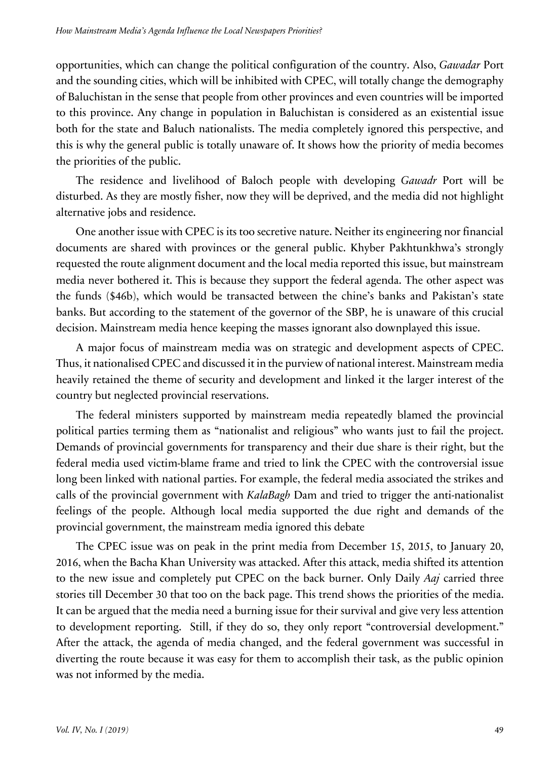opportunities, which can change the political configuration of the country. Also, *Gawadar* Port and the sounding cities, which will be inhibited with CPEC, will totally change the demography of Baluchistan in the sense that people from other provinces and even countries will be imported to this province. Any change in population in Baluchistan is considered as an existential issue both for the state and Baluch nationalists. The media completely ignored this perspective, and this is why the general public is totally unaware of. It shows how the priority of media becomes the priorities of the public.

The residence and livelihood of Baloch people with developing *Gawadr* Port will be disturbed. As they are mostly fisher, now they will be deprived, and the media did not highlight alternative jobs and residence.

One another issue with CPEC is its too secretive nature. Neither its engineering nor financial documents are shared with provinces or the general public. Khyber Pakhtunkhwa's strongly requested the route alignment document and the local media reported this issue, but mainstream media never bothered it. This is because they support the federal agenda. The other aspect was the funds (\$46b), which would be transacted between the chine's banks and Pakistan's state banks. But according to the statement of the governor of the SBP, he is unaware of this crucial decision. Mainstream media hence keeping the masses ignorant also downplayed this issue.

A major focus of mainstream media was on strategic and development aspects of CPEC. Thus, it nationalised CPEC and discussed it in the purview of national interest. Mainstream media heavily retained the theme of security and development and linked it the larger interest of the country but neglected provincial reservations.

The federal ministers supported by mainstream media repeatedly blamed the provincial political parties terming them as "nationalist and religious" who wants just to fail the project. Demands of provincial governments for transparency and their due share is their right, but the federal media used victim-blame frame and tried to link the CPEC with the controversial issue long been linked with national parties. For example, the federal media associated the strikes and calls of the provincial government with *KalaBagh* Dam and tried to trigger the anti-nationalist feelings of the people. Although local media supported the due right and demands of the provincial government, the mainstream media ignored this debate

The CPEC issue was on peak in the print media from December 15, 2015, to January 20, 2016, when the Bacha Khan University was attacked. After this attack, media shifted its attention to the new issue and completely put CPEC on the back burner. Only Daily *Aaj* carried three stories till December 30 that too on the back page. This trend shows the priorities of the media. It can be argued that the media need a burning issue for their survival and give very less attention to development reporting. Still, if they do so, they only report "controversial development." After the attack, the agenda of media changed, and the federal government was successful in diverting the route because it was easy for them to accomplish their task, as the public opinion was not informed by the media.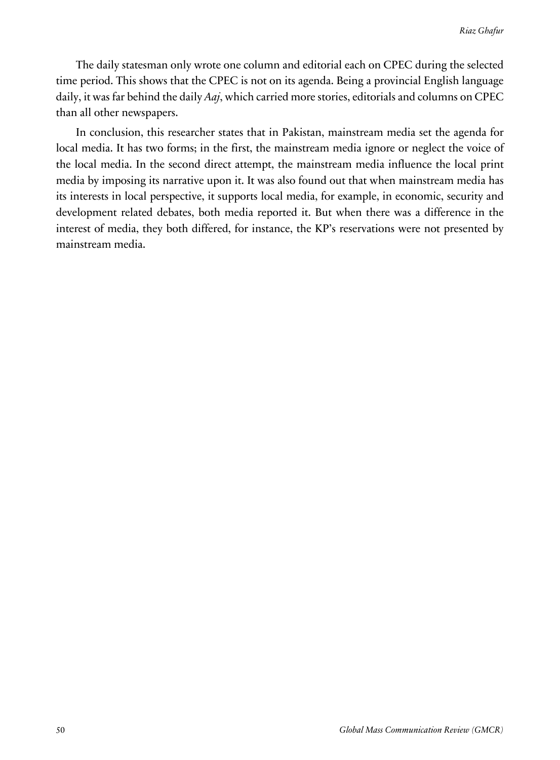The daily statesman only wrote one column and editorial each on CPEC during the selected time period. This shows that the CPEC is not on its agenda. Being a provincial English language daily, it was far behind the daily *Aaj*, which carried more stories, editorials and columns on CPEC than all other newspapers.

In conclusion, this researcher states that in Pakistan, mainstream media set the agenda for local media. It has two forms; in the first, the mainstream media ignore or neglect the voice of the local media. In the second direct attempt, the mainstream media influence the local print media by imposing its narrative upon it. It was also found out that when mainstream media has its interests in local perspective, it supports local media, for example, in economic, security and development related debates, both media reported it. But when there was a difference in the interest of media, they both differed, for instance, the KP's reservations were not presented by mainstream media.